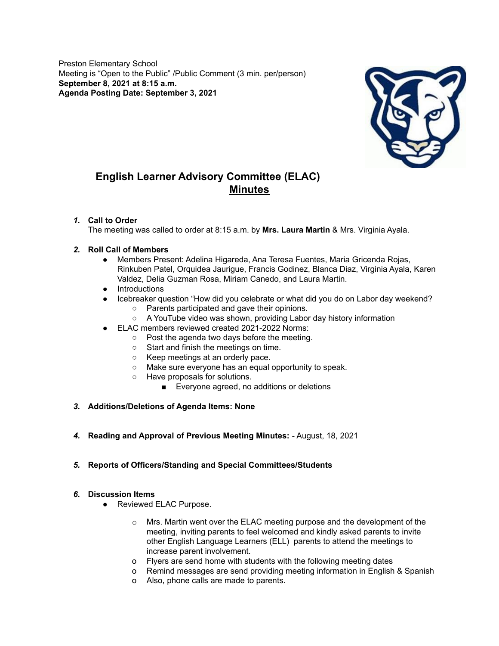Preston Elementary School Meeting is "Open to the Public" /Public Comment (3 min. per/person) **September 8, 2021 at 8:15 a.m. Agenda Posting Date: September 3, 2021**



# **English Learner Advisory Committee (ELAC) Minutes**

# *1.* **Call to Order**

The meeting was called to order at 8:15 a.m. by **Mrs. Laura Martin** & Mrs. Virginia Ayala.

# *2.* **Roll Call of Members**

- Members Present: Adelina Higareda, Ana Teresa Fuentes, Maria Gricenda Rojas, Rinkuben Patel, Orquidea Jaurigue, Francis Godinez, Blanca Diaz, Virginia Ayala, Karen Valdez, Delia Guzman Rosa, Miriam Canedo, and Laura Martin.
- Introductions
- Icebreaker question "How did you celebrate or what did you do on Labor day weekend?
	- Parents participated and gave their opinions.
	- A YouTube video was shown, providing Labor day history information
- ELAC members reviewed created 2021-2022 Norms:
	- Post the agenda two days before the meeting.
	- Start and finish the meetings on time.
	- Keep meetings at an orderly pace.
	- Make sure everyone has an equal opportunity to speak.
	- Have proposals for solutions.
		- Everyone agreed, no additions or deletions
- *3.* **Additions/Deletions of Agenda Items: None**
- *4.* **Reading and Approval of Previous Meeting Minutes:** August, 18, 2021

# *5.* **Reports of Officers/Standing and Special Committees/Students**

### *6.* **Discussion Items**

- Reviewed ELAC Purpose.
	- $\circ$  Mrs. Martin went over the ELAC meeting purpose and the development of the meeting, inviting parents to feel welcomed and kindly asked parents to invite other English Language Learners (ELL) parents to attend the meetings to increase parent involvement.
	- o Flyers are send home with students with the following meeting dates
	- o Remind messages are send providing meeting information in English & Spanish
	- o Also, phone calls are made to parents.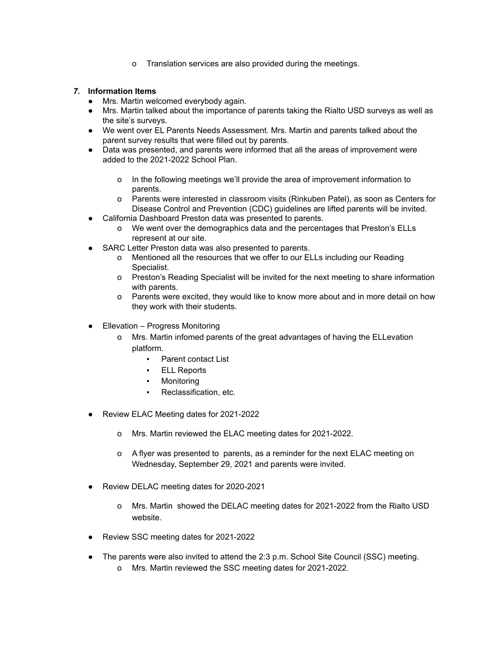o Translation services are also provided during the meetings.

# *7.* **Information Items**

- Mrs. Martin welcomed everybody again.
- Mrs. Martin talked about the importance of parents taking the Rialto USD surveys as well as the site's surveys.
- We went over EL Parents Needs Assessment. Mrs. Martin and parents talked about the parent survey results that were filled out by parents.
- Data was presented, and parents were informed that all the areas of improvement were added to the 2021-2022 School Plan.
	- o In the following meetings we'll provide the area of improvement information to parents.
	- o Parents were interested in classroom visits (Rinkuben Patel), as soon as Centers for Disease Control and Prevention (CDC) guidelines are lifted parents will be invited.
- California Dashboard Preston data was presented to parents.
	- o We went over the demographics data and the percentages that Preston's ELLs represent at our site.
- SARC Letter Preston data was also presented to parents.
	- o Mentioned all the resources that we offer to our ELLs including our Reading Specialist.
	- o Preston's Reading Specialist will be invited for the next meeting to share information with parents.
	- o Parents were excited, they would like to know more about and in more detail on how they work with their students.
- **Ellevation Progress Monitoring** 
	- o Mrs. Martin infomed parents of the great advantages of having the ELLevation platform.
		- Parent contact List
		- ELL Reports
		- Monitoring
		- Reclassification, etc.
- Review ELAC Meeting dates for 2021-2022
	- o Mrs. Martin reviewed the ELAC meeting dates for 2021-2022.
	- o A flyer was presented to parents, as a reminder for the next ELAC meeting on Wednesday, September 29, 2021 and parents were invited.
- Review DELAC meeting dates for 2020-2021
	- o Mrs. Martin showed the DELAC meeting dates for 2021-2022 from the Rialto USD website.
- Review SSC meeting dates for 2021-2022
- The parents were also invited to attend the 2:3 p.m. School Site Council (SSC) meeting.
	- o Mrs. Martin reviewed the SSC meeting dates for 2021-2022.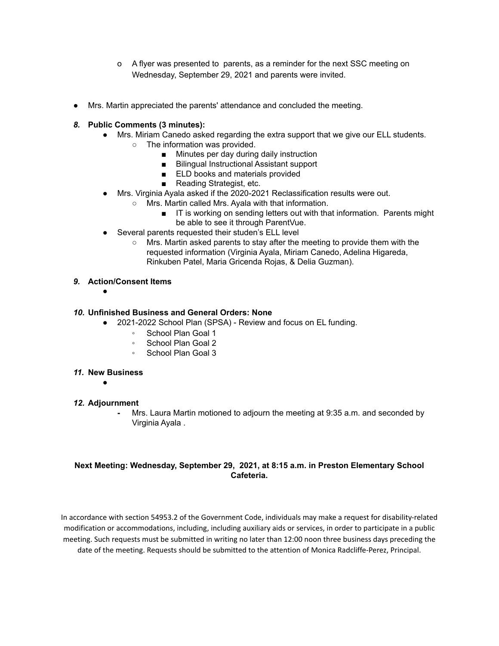- o A flyer was presented to parents, as a reminder for the next SSC meeting on Wednesday, September 29, 2021 and parents were invited.
- Mrs. Martin appreciated the parents' attendance and concluded the meeting.

## *8.* **Public Comments (3 minutes):**

- Mrs. Miriam Canedo asked regarding the extra support that we give our ELL students.
	- The information was provided.
		- Minutes per day during daily instruction
		- Bilingual Instructional Assistant support
		- ELD books and materials provided
		- Reading Strategist, etc.
- Mrs. Virginia Ayala asked if the 2020-2021 Reclassification results were out.
	- Mrs. Martin called Mrs. Ayala with that information.
		- IT is working on sending letters out with that information. Parents might be able to see it through ParentVue.
- Several parents requested their studen's ELL level
	- Mrs. Martin asked parents to stay after the meeting to provide them with the requested information (Virginia Ayala, Miriam Canedo, Adelina Higareda, Rinkuben Patel, Maria Gricenda Rojas, & Delia Guzman).

### *9.* **Action/Consent Items**

●

### *10.* **Unfinished Business and General Orders: None**

- 2021-2022 School Plan (SPSA) Review and focus on EL funding.
	- School Plan Goal 1
	- School Plan Goal 2
	- School Plan Goal 3

### *11.* **New Business**

●

### *12.* **Adjournment**

**-** Mrs. Laura Martin motioned to adjourn the meeting at 9:35 a.m. and seconded by Virginia Ayala .

# **Next Meeting: Wednesday, September 29, 2021, at 8:15 a.m. in Preston Elementary School Cafeteria.**

In accordance with section 54953.2 of the Government Code, individuals may make a request for disability-related modification or accommodations, including, including auxiliary aids or services, in order to participate in a public meeting. Such requests must be submitted in writing no later than 12:00 noon three business days preceding the date of the meeting. Requests should be submitted to the attention of Monica Radcliffe-Perez, Principal.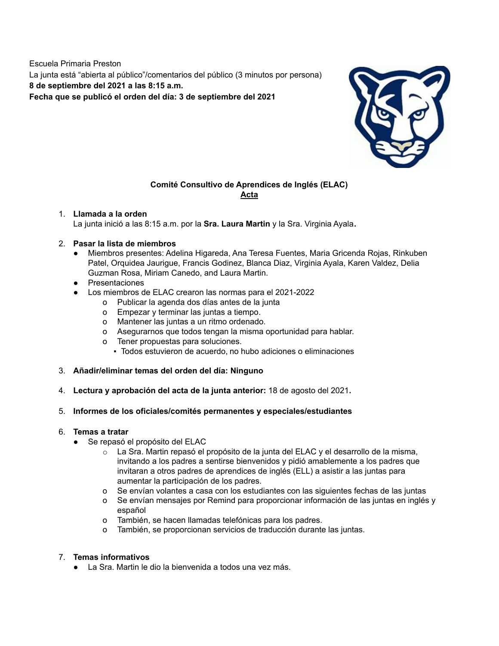Escuela Primaria Preston La junta está "abierta al público"/comentarios del público (3 minutos por persona) **8 de septiembre del 2021 a las 8:15 a.m. Fecha que se publicó el orden del día: 3 de septiembre del 2021**



# **Comité Consultivo de Aprendices de Inglés (ELAC) Acta**

# 1. **Llamada a la orden**

La junta inició a las 8:15 a.m. por la **Sra. Laura Martin** y la Sra. Virginia Ayala**.**

### 2. **Pasar la lista de miembros**

- **●** Miembros presentes: Adelina Higareda, Ana Teresa Fuentes, Maria Gricenda Rojas, Rinkuben Patel, Orquidea Jaurigue, Francis Godinez, Blanca Diaz, Virginia Ayala, Karen Valdez, Delia Guzman Rosa, Miriam Canedo, and Laura Martin.
- **●** Presentaciones
- **●** Los miembros de ELAC crearon las normas para el 2021-2022
	- o Publicar la agenda dos días antes de la junta
	- o Empezar y terminar las juntas a tiempo.
	- o Mantener las juntas a un ritmo ordenado.
	- o Asegurarnos que todos tengan la misma oportunidad para hablar.
	- o Tener propuestas para soluciones.
		- Todos estuvieron de acuerdo, no hubo adiciones o eliminaciones
- 3. **Añadir/eliminar temas del orden del día: Ninguno**
- 4. **Lectura y aprobación del acta de la junta anterior:** 18 de agosto del 2021**.**

# 5. **Informes de los oficiales/comités permanentes y especiales/estudiantes**

### 6. **Temas a tratar**

- Se repasó el propósito del ELAC
	- $\circ$  La Sra. Martin repasó el propósito de la junta del ELAC y el desarrollo de la misma, invitando a los padres a sentirse bienvenidos y pidió amablemente a los padres que invitaran a otros padres de aprendices de inglés (ELL) a asistir a las juntas para aumentar la participación de los padres.
	- o Se envían volantes a casa con los estudiantes con las siguientes fechas de las juntas
	- o Se envían mensajes por Remind para proporcionar información de las juntas en inglés y español
	- o También, se hacen llamadas telefónicas para los padres.
	- o También, se proporcionan servicios de traducción durante las juntas.

# 7. **Temas informativos**

**●** La Sra. Martin le dio la bienvenida a todos una vez más.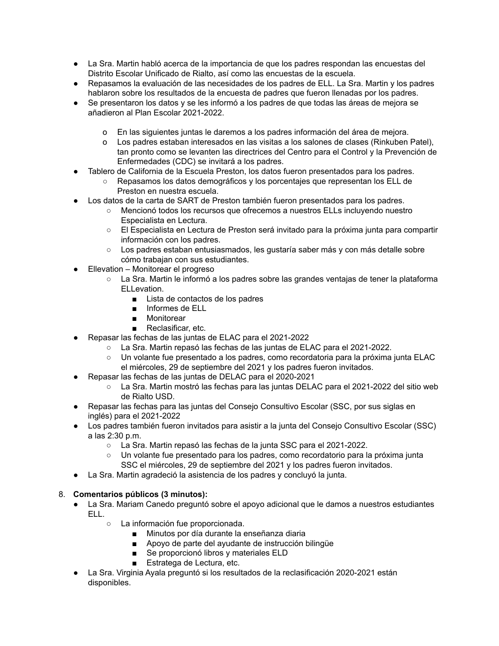- **●** La Sra. Martin habló acerca de la importancia de que los padres respondan las encuestas del Distrito Escolar Unificado de Rialto, así como las encuestas de la escuela.
- **●** Repasamos la evaluación de las necesidades de los padres de ELL. La Sra. Martin y los padres hablaron sobre los resultados de la encuesta de padres que fueron llenadas por los padres.
- **●** Se presentaron los datos y se les informó a los padres de que todas las áreas de mejora se añadieron al Plan Escolar 2021-2022.
	- o En las siguientes juntas le daremos a los padres información del área de mejora.
	- o Los padres estaban interesados en las visitas a los salones de clases (Rinkuben Patel), tan pronto como se levanten las directrices del Centro para el Control y la Prevención de Enfermedades (CDC) se invitará a los padres.
- Tablero de California de la Escuela Preston, los datos fueron presentados para los padres.
	- Repasamos los datos demográficos y los porcentajes que representan los ELL de Preston en nuestra escuela.
- Los datos de la carta de SART de Preston también fueron presentados para los padres.
	- Mencionó todos los recursos que ofrecemos a nuestros ELLs incluyendo nuestro Especialista en Lectura.
	- El Especialista en Lectura de Preston será invitado para la próxima junta para compartir información con los padres.
	- Los padres estaban entusiasmados, les gustaría saber más y con más detalle sobre cómo trabajan con sus estudiantes.
- Ellevation Monitorear el progreso
	- La Sra. Martin le informó a los padres sobre las grandes ventajas de tener la plataforma ELLevation.
		- Lista de contactos de los padres
		- Informes de ELL
		- Monitorear
		- Reclasificar, etc.
- Repasar las fechas de las juntas de ELAC para el 2021-2022
	- La Sra. Martin repasó las fechas de las juntas de ELAC para el 2021-2022.
	- Un volante fue presentado a los padres, como recordatoria para la próxima junta ELAC el miércoles, 29 de septiembre del 2021 y los padres fueron invitados.
- Repasar las fechas de las juntas de DELAC para el 2020-2021
	- La Sra. Martin mostró las fechas para las juntas DELAC para el 2021-2022 del sitio web de Rialto USD.
- Repasar las fechas para las juntas del Consejo Consultivo Escolar (SSC, por sus siglas en inglés) para el 2021-2022
- Los padres también fueron invitados para asistir a la junta del Consejo Consultivo Escolar (SSC) a las 2:30 p.m.
	- La Sra. Martin repasó las fechas de la junta SSC para el 2021-2022.
	- Un volante fue presentado para los padres, como recordatorio para la próxima junta SSC el miércoles, 29 de septiembre del 2021 y los padres fueron invitados.
- La Sra. Martin agradeció la asistencia de los padres y concluyó la junta.

# 8. **Comentarios públicos (3 minutos):**

- La Sra. Mariam Canedo preguntó sobre el apoyo adicional que le damos a nuestros estudiantes ELL.
	- La información fue proporcionada.
		- Minutos por día durante la enseñanza diaria
		- Apoyo de parte del ayudante de instrucción bilingüe
		- Se proporcionó libros y materiales ELD
		- Estratega de Lectura, etc.
- La Sra. Virginia Ayala preguntó si los resultados de la reclasificación 2020-2021 están disponibles.